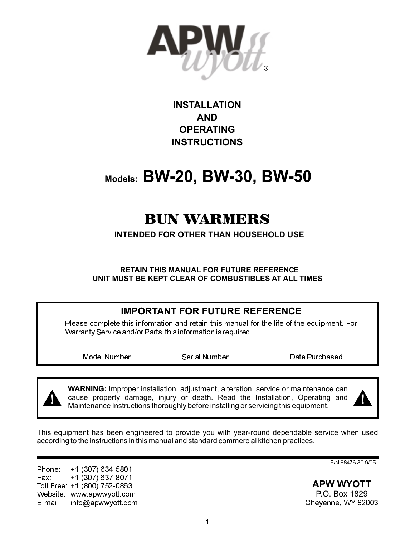

# **INSTALLATION AND OPERATING INSTRUCTIONS**

# **Models: BW-20, BW-30, BW-50**

# BUN WARMERS

**INTENDED FOR OTHER THAN HOUSEHOLD USE**

**RETAIN THIS MANUAL FOR FUTURE REFERENCE UNIT MUST BE KEPT CLEAR OF COMBUSTIBLES AT ALL TIMES**

### **IMPORTANT FOR FUTURE REFERENCE**

Please complete this information and retain this manual for the life of the equipment. For Warranty Service and/or Parts, this information is required.

Model Number Serial Number Date Purchased

**WARNING:** Improper installation, adjustment, alteration, service or maintenance can cause property damage, injury or death. Read the Installation, Operating and Maintenance Instructions thoroughly before installing or servicing this equipment. **! !**



This equipment has been engineered to provide you with year-round dependable service when used according to the instructions in this manual and standard commercial kitchen practices.

Phone:<br>Fax: Fax: +1 (307) 637-8071 Toll Free: +1 (800) 752-0863 Website: www.apwwyott.com E-mail: info@apwwyott.com (307) 634-5801

P/N 88476-30 9/05

**APW WYOTT** P.O. Box 1829 Cheyenne, WY 82003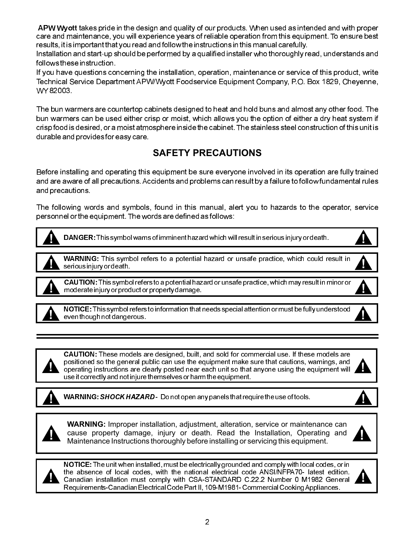${\sf A}$ PW Wyott takes pride in the design and quality of our products. When used as intended and with proper care and maintenance, you will experience years of reliable operation from this equipment. To ensure best results, it is important that you read and follow the instructions in this manual carefully.

Installation and start-up should be performed by a qualified installer who thoroughly read, understands and follows these instruction.

If you have questions concerning the installation, operation, maintenance or service of this product, write Technical Service Department APW/Wyott Foodservice Equipment Company, P.O. Box 1829, Cheyenne, WY 82003.

The bun warmers are countertop cabinets designed to heat and hold buns and almost any other food. The bun warmers can be used either crisp or moist, which allows you the option of either a dry heat system if crisp food is desired, or a moist atmosphere inside the cabinet. The stainless steel construction of this unit is durable and provides for easy care.

# **SAFETY PRECAUTIONS**

Before installing and operating this equipment be sure everyone involved in its operation are fully trained and are aware of all precautions. Accidents and problems can result by a failure to follow fundamental rules and precautions.

The following words and symbols, found in this manual, alert you to hazards to the operator, service personnel or the equipment. The words are defined as follows:



**! !** DANGER:This symbol warns of imminent hazard which will result in serious injury or death.



**WARNING:** This symbol refers to a potential hazard or unsafe practice, which could result in







**! !** NOTICE:This symbol refers to information that needs special attention or must be fully understood even though not dangerous.



CAUTION: These models are designed, built, and sold for commercial use. If these models are positioned so the general public can use the equipment make sure that cautions, warnings, and operating instructions are clearly posted near each unit so that anyone using the equipment will use it correctly and not injure themselves or harm the equipment.



**WARNING: SHOCK HAZARD -** Do not open any panels that require the use of tools.



**!**



**WARNING:** Improper installation, adjustment, alteration, service or maintenance can **Exercise a** cause property damage, injury or death. Read the Installation, Operating and **Interpretent and Maintenance Instructions thoroughly before installing or servicing this equipment.** 





**1.** The absence of local codes, with the haddled electrical code ANSI/NFFA70- latest edition. NOTICE:The unit when installed, must be electrically grounded and comply with local codes, or in the absence of local codes, with the national electrical code ANSI/NFPA70- latest edition. Requirements-CanadianElectrical Code Part II, 109-M1981- Commercial CookingAppliances.

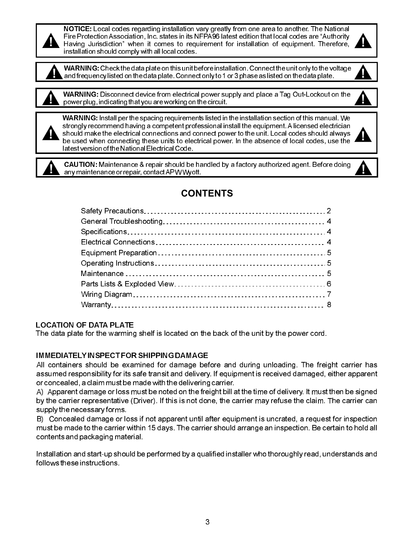**1.** Fire Protection Association, the states in its NPASO latest edition that local codes are Additionly Having Jurisdiction" when it comes to requirement for installation of equipment. Therefore, NOTICE: Local codes regarding installation vary greatly from one area to another. The National Fire Protection Association, Inc. states in its NFPA96 latest edition that local codes are "Authority installation should comply with all local codes.



**!** WARNING:Check the data plate on this unit before installation. Connect the unit only to the voltage **!** and frequency listed on the data plate. Connect only to 1 or 3 phase as listed on the data plate.



**! !** WARNING: Disconnect device from electrical power supply and place a Tag Out-Lockout on the power plug, indicatingthat you are working on the circuit.



WARNING: Install per the spacing requirements listed in the installation section of this manual. We strongly recommend having a competent professional install the equipment. A licensed electrician **1** should make the electrical connections and connect power to the unit. Local codes should always be used when connecting these units to electrical power. In the absence of local codes, use the be used when connecting these units to electrical power. In the absence of local codes, use the latest version of the National Electrical Code.



**! !** CAUTION: Maintenance & repair should be handled by a factory authorized agent. Before doing any maintenance or repair, contactAPWWyott.



#### LOCATION OF DATA PLATE

The data plate for the warming shelf is located on the back of the unit by the power cord.

#### IMMEDIATELY INSPECT FOR SHIPPING DAMAGE

All containers should be examined for damage before and during unloading. The freight carrier has assumed responsibility for its safe transit and delivery. If equipment is received damaged, either apparent or concealed, a claim must be made with the delivering carrier.

A) Apparent damage or loss must be noted on the freight bill at the time of delivery. It must then be signed by the carrier representative (Driver). If this is not done, the carrier may refuse the claim. The carrier can supply the necessary forms.

B) Concealed damage or loss if not apparent until after equipment is uncrated, a request for inspection must be made to the carrier within 15 days. The carrier should arrange an inspection. Be certain to hold all contents and packaging material.

Installation and start-up should be performed by a qualified installer who thoroughly read, understands and follows these instructions.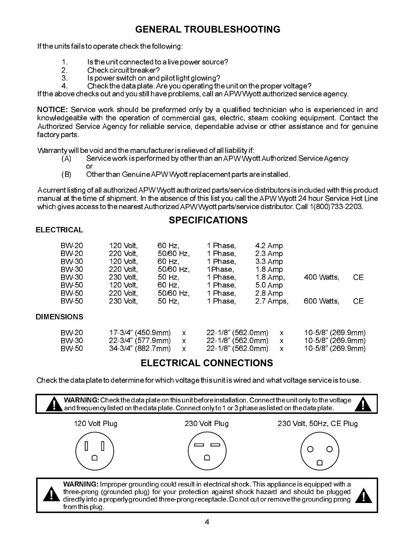### **GENERAL TROUBLESHOOTING**

If the units fails to operate check the following:

- 1. Is the unit connected to a live power source?<br>2. Check circuit breaker?
- 2. Check circuit breaker?<br>3. Spower switch on and
- 3. Is power switch on and pilot light glowing?<br>4. Check the data plate. Are you operating the
- 4. Check the data plate.Are you operating the unit on the proper voltage?

If the above checks out and you still have problems, call anAPW Wyott authorized service agency.

NOTICE: Service work should be preformed only by a qualified technician who is experienced in and knowledgeable with the operation of commercial gas, electric, steam cooking equipment. Contact the Authorized Service Agency for reliable service, dependable advise or other assistance and for genuine factory parts.

Warranty will be void and the manufacturer is relieved of all liability if:

- (A) Service work is performed by other than anAPW WyottAuthorized ServiceAgency or
- (B) Other than GenuineAPW Wyott replacement parts are installed.

A current listing of all authorizedAPW Wyott authorized parts/service distributors is included with this product manual at the time of shipment. In the absence of this list you call the APW Wyott 24 hour Service Hot Line which gives access to the nearestAuthorizedAPW Wyott parts/service distributor. Call 1(800)733-2203.

#### **SPECIFICATIONS**

#### **ELECTRICAL**

from this plug.

| BW-20<br>BW-20<br>BW-30        | 120 Volt.<br>220 Volt<br>120 Volt                           | 60 Hz<br>50/60 Hz<br>60 Hz.  | 1 Phase,<br>1 Phase,<br>1 Phase                             | 4.2 Amp<br>2.3 Amp<br>33 Amp |                                                             |     |
|--------------------------------|-------------------------------------------------------------|------------------------------|-------------------------------------------------------------|------------------------------|-------------------------------------------------------------|-----|
| BW-30<br>BW-30<br>BW-50        | 220 Volt<br>230 Volt<br><b>120 Volt</b>                     | 50/60 Hz<br>50 Hz.<br>60 Hz. | 1Phase,<br>1 Phase.<br>1 Phase                              | 18 Amp<br>18 Amp<br>50Amp    | 400 Watts                                                   | CE. |
| <b>BW-50</b><br><b>BW-50</b>   | 220 Volt<br>230 Volt                                        | 50/60 Hz<br>50 Hz.           | 1 Phase.<br>1 Phase,                                        | 2.8 Amp<br>2.7 Amps          | 600 Watts,                                                  | CE. |
| <b>DIMENSIONS</b>              |                                                             |                              |                                                             |                              |                                                             |     |
| BW-20<br>BW-30<br><b>BW-50</b> | 17-3/4" (450 9mm)<br>22-3/4" (577.9mm)<br>34-3/4" (882.7mm) | X<br>X<br>X                  | 22-1/8" (562.0mm)<br>22-1/8" (562.0mm)<br>22-1/8" (562 0mm) | X<br>X<br>X                  | 10-5/8" (269.9mm)<br>10-5/8" (269.9mm)<br>10-5/8" (269.9mm) |     |

### **ELECTRICAL CONNECTIONS**

Check the data plate to determine for which voltage this unit is wired and what voltage service is to use.

**!** WARNING:Check the data plate on this unit before installation. Connect the unit only to the voltage **!** and frequency listed on the data plate. Connect only to 1 or 3 phase as listed on the data plate. 120 Volt Plug 230 Volt Plug 230 Volt, 50Hz, CE Plug Ш O  $\bigcap$  $\bigcap$  $\cap$ WARNING: Improper grounding could result in electrical shock. This appliance is equipped with a three-prong (grounded plug) for your protection against shock hazard and should be plugged **1** three-prong (grounded plug) for your protection against shock hazard and should be plugged directly into a properly grounded three-prong receptacle. Do not cut or remove the grounding prong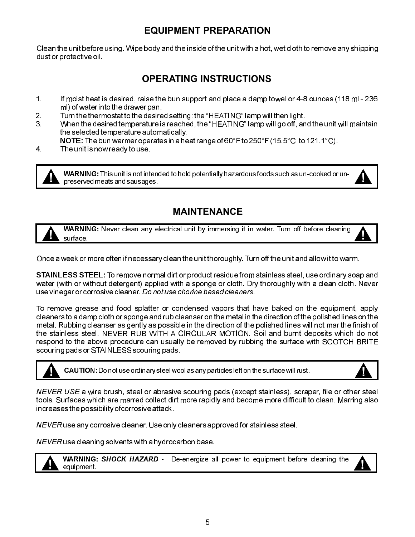### **EQUIPMENT PREPARATION**

Clean the unit before using. Wipe body and the inside of the unit with a hot, wet cloth to remove any shipping dust or protective oil.

# **OPERATING INSTRUCTIONS**

- 1. If moist heat is desired, raise the bun support and place a damp towel or 4-8 ounces (118 ml 236 ml) of water into the drawer pan.
- 2. Turn the thermostat to the desired setting: the "HEATING" lamp will then light.
- 3. When the desired temperature is reached, the "HEATING" lamp will go off, and the unit will maintain the selected temperature automatically.

<code>NOTE:The</code> bun warmer operates in a heat range of 60°F to 250°F (15.5°C  $\,$  to 121.1°C).

4. The unit is now ready to use.

**! !** WARNING: This unit is not intended to hold potentially hazardous foods such as un-cooked or unpreservedmeats and sausages.

### **MAINTENANCE**

**! !** WARNING: Never clean any electrical unit by immersing it in water. Turn off before cleaning surface.

Once a week or more often if necessary clean the unit thoroughly. Turn off the unit and allow it to warm.

 ${\sf STAINLESS}$   ${\sf STEEL}$ : To remove normal dirt or product residue from stainless steel, use ordinary soap and water (with or without detergent) applied with a sponge or cloth. Dry thoroughly with a clean cloth. Never use vinegar or corrosive cleaner. Do not use chorine based cleaners.

To remove grease and food splatter or condensed vapors that have baked on the equipment, apply cleaners to a damp cloth or sponge and rub cleanser on the metal in the direction of the polished lines on the metal. Rubbing cleanser as gently as possible in the direction of the polished lines will not mar the finish of the stainless steel. NEVER RUB WITH A CIRCULAR MOTION. Soil and burnt deposits which do not respond to the above procedure can usually be removed by rubbing the surface with SCOTCH-BRITE scouring pads or STAINLESS scouring pads.

**! !** CAUTION:Do not use ordinary steel wool as any particles left on the surface will rust.



NEVER USE a wire brush, steel or abrasive scouring pads (except stainless), scraper, file or other steel tools. Surfaces which are marred collect dirt more rapidly and become more difficult to clean. Marring also increases the possibility ofcorrosive attack.

NEVER use any corrosive cleaner. Use only cleaners approved for stainless steel.

 $NEVER$  use cleaning solvents with a hydrocarbon base.



**WARNING: SHOCK HAZARD -** De-energize all power to equipment before cleaning the equipment.

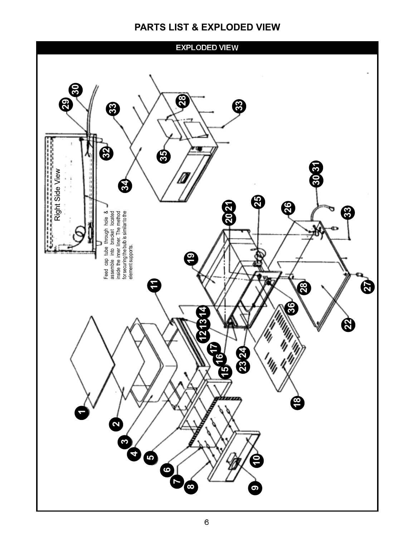### **PARTS LIST & EXPLODED VIEW**

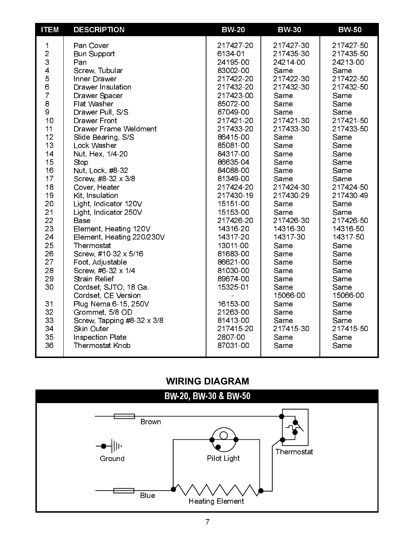| <b>ITEM</b>                                                                                                                                                                                | <b>DESCRIPTION</b>                                                                                                                                                                                                                                                                                                                                                                                                                                                                                                                                                                                                                                             | <b>BW-20</b>                                                                                                                                                                                                                                                                                                                                                                             | <b>BW-30</b>                                                                                                                                                                                                                                                                                                              | <b>BW-50</b>                                                                                                                                                                                                                                                                                                              |
|--------------------------------------------------------------------------------------------------------------------------------------------------------------------------------------------|----------------------------------------------------------------------------------------------------------------------------------------------------------------------------------------------------------------------------------------------------------------------------------------------------------------------------------------------------------------------------------------------------------------------------------------------------------------------------------------------------------------------------------------------------------------------------------------------------------------------------------------------------------------|------------------------------------------------------------------------------------------------------------------------------------------------------------------------------------------------------------------------------------------------------------------------------------------------------------------------------------------------------------------------------------------|---------------------------------------------------------------------------------------------------------------------------------------------------------------------------------------------------------------------------------------------------------------------------------------------------------------------------|---------------------------------------------------------------------------------------------------------------------------------------------------------------------------------------------------------------------------------------------------------------------------------------------------------------------------|
| 1<br>$\overline{c}$<br>3<br>4<br>5<br>6<br>7<br>8<br>9<br>10<br>11<br>12<br>13<br>14<br>15<br>16<br>17<br>18<br>19<br>20<br>21<br>22<br>23<br>24<br>25<br>26<br>27<br>28<br>29<br>30<br>31 | Pan Cover<br><b>Bun Support</b><br>Pan<br>Screw, Tubular<br>Inner Drawer<br>Drawer Insulation<br>Drawer Spacer<br>Flat Washer<br>Drawer Pull, S/S<br><b>Drawer Front</b><br><b>Drawer Frame Weldment</b><br>Slide Bearing, S/S<br>Lock Washer<br>Nut, Hex, 1/4-20<br>Stop<br>Nut, Lock, #8-32<br>Screw, #8-32 x 3/8<br>Cover, Heater<br>Kit, Insulation<br>Light, Indicator 120V<br>Light, Indicator 250V<br><b>Base</b><br>Element, Heating 120V<br>Element, Heating 220/230V<br>Thermostat<br>Screw, #10-32 x 5/16<br>Foot, Adjustable<br>Screw, #6-32 x 1/4<br><b>Strain Relief</b><br>Cordset, SJTO, 18 Ga.<br>Cordset, CE Version<br>Plug Nema 6-15, 250V | 217427-20<br>6134-01<br>24195-00<br>83002-00<br>217422-20<br>217432-20<br>217423-00<br>85072-00<br>87049-00<br>217421-20<br>217433-20<br>86415-00<br>85081-00<br>84317-00<br>86635-04<br>84088-00<br>81349-00<br>217424-20<br>217430-19<br>15151-00<br>15153-00<br>217426-20<br>14316-20<br>14317-20<br>13011-00<br>81683-00<br>86621-00<br>81030-00<br>89674-00<br>15325-01<br>16153-00 | 217427-30<br>217435-30<br>24214-00<br>Same<br>217422-30<br>217432-30<br>Same<br>Same<br>Same<br>217421-30<br>217433-30<br>Same<br>Same<br>Same<br>Same<br>Same<br>Same<br>217424-30<br>217430-29<br>Same<br>Same<br>217426-30<br>14316-30<br>14317-30<br>Same<br>Same<br>Same<br>Same<br>Same<br>Same<br>15066-00<br>Same | 217427-50<br>217435-50<br>24213-00<br>Same<br>217422-50<br>217432-50<br>Same<br>Same<br>Same<br>217421-50<br>217433-50<br>Same<br>Same<br>Same<br>Same<br>Same<br>Same<br>217424-50<br>217430-49<br>Same<br>Same<br>217426-50<br>14316-50<br>14317-50<br>Same<br>Same<br>Same<br>Same<br>Same<br>Same<br>15066-00<br>Same |
| 32<br>33<br>34<br>35<br>36                                                                                                                                                                 | Grommet, 5/8 OD<br>Screw, Tapping #8-32 x 3/8<br><b>Skin Outer</b><br>Inspection Plate<br><b>Thermostat Knob</b>                                                                                                                                                                                                                                                                                                                                                                                                                                                                                                                                               | 21263-00<br>81413-00<br>217415-20<br>2807-00<br>87031-00                                                                                                                                                                                                                                                                                                                                 | Same<br>Same<br>217415-30<br>Same<br>Same                                                                                                                                                                                                                                                                                 | Same<br>Same<br>217415-50<br>Same<br>Same                                                                                                                                                                                                                                                                                 |
|                                                                                                                                                                                            |                                                                                                                                                                                                                                                                                                                                                                                                                                                                                                                                                                                                                                                                |                                                                                                                                                                                                                                                                                                                                                                                          |                                                                                                                                                                                                                                                                                                                           |                                                                                                                                                                                                                                                                                                                           |

# **WIRING DIAGRAM**